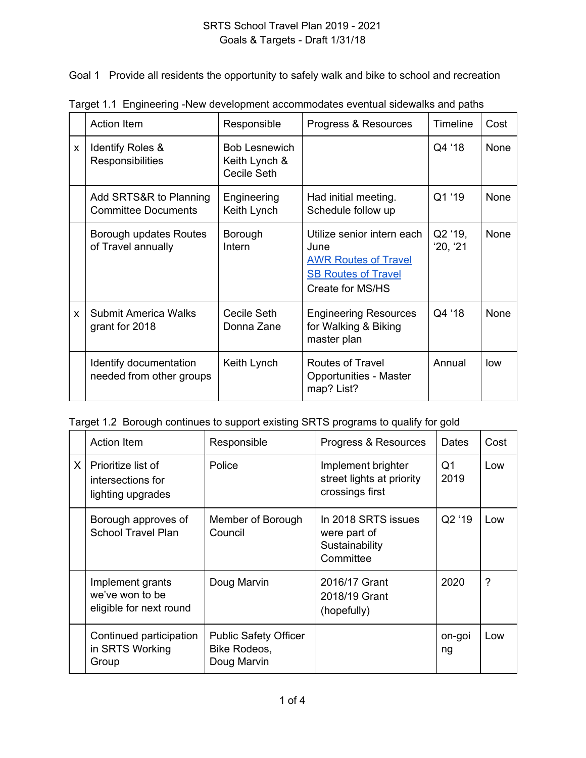Goal 1 Provide all residents the opportunity to safely walk and bike to school and recreation

|          | <b>Action Item</b>                                   | Responsible                                          | Progress & Resources                                                                                                | <b>Timeline</b>   | Cost        |
|----------|------------------------------------------------------|------------------------------------------------------|---------------------------------------------------------------------------------------------------------------------|-------------------|-------------|
| X        | Identify Roles &<br><b>Responsibilities</b>          | <b>Bob Lesnewich</b><br>Keith Lynch &<br>Cecile Seth |                                                                                                                     | Q4 '18            | None        |
|          | Add SRTS&R to Planning<br><b>Committee Documents</b> | Engineering<br>Keith Lynch                           | Had initial meeting.<br>Schedule follow up                                                                          | Q1 '19            | <b>None</b> |
|          | Borough updates Routes<br>of Travel annually         | Borough<br>Intern                                    | Utilize senior intern each<br>June<br><b>AWR Routes of Travel</b><br><b>SB Routes of Travel</b><br>Create for MS/HS | Q2 '19,<br>20, 21 | None        |
| <b>X</b> | Submit America Walks<br>grant for 2018               | Cecile Seth<br>Donna Zane                            | <b>Engineering Resources</b><br>for Walking & Biking<br>master plan                                                 | Q4 '18            | None        |
|          | Identify documentation<br>needed from other groups   | Keith Lynch                                          | <b>Routes of Travel</b><br><b>Opportunities - Master</b><br>map? List?                                              | Annual            | low         |

Target 1.1 Engineering -New development accommodates eventual sidewalks and paths

| Target 1.2 Borough continues to support existing SRTS programs to qualify for gold |  |  |
|------------------------------------------------------------------------------------|--|--|
|                                                                                    |  |  |
|                                                                                    |  |  |

|          | Action Item                                                    | Responsible                                                 | Progress & Resources                                               | Dates        | Cost |
|----------|----------------------------------------------------------------|-------------------------------------------------------------|--------------------------------------------------------------------|--------------|------|
| $\times$ | Prioritize list of<br>intersections for<br>lighting upgrades   | Police                                                      | Implement brighter<br>street lights at priority<br>crossings first | Q1<br>2019   | Low  |
|          | Borough approves of<br><b>School Travel Plan</b>               | Member of Borough<br>Council                                | In 2018 SRTS issues<br>were part of<br>Sustainability<br>Committee | Q2 '19       | Low  |
|          | Implement grants<br>we've won to be<br>eligible for next round | Doug Marvin                                                 | 2016/17 Grant<br>2018/19 Grant<br>(hopefully)                      | 2020         | ?    |
|          | Continued participation<br>in SRTS Working<br>Group            | <b>Public Safety Officer</b><br>Bike Rodeos,<br>Doug Marvin |                                                                    | on-goi<br>ng | Low  |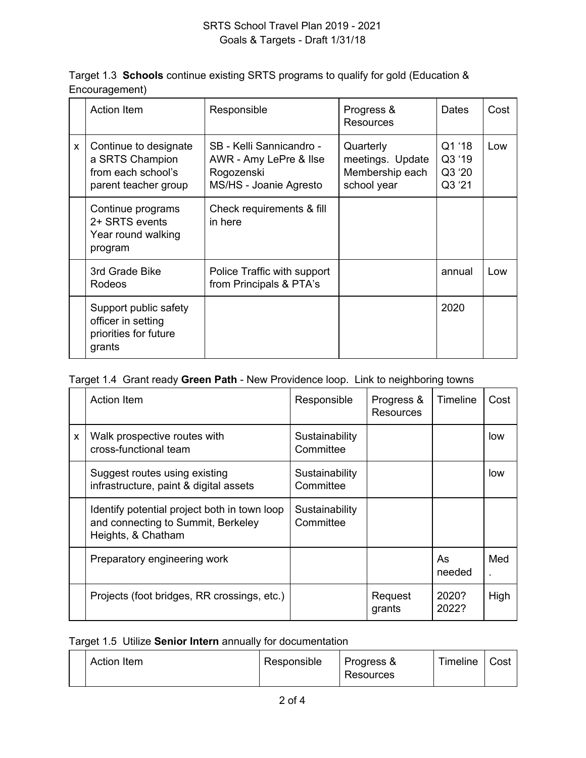| Target 1.3 <b>Schools</b> continue existing SRTS programs to qualify for gold (Education &<br>Encouragement) |             |                                |       |      |  |
|--------------------------------------------------------------------------------------------------------------|-------------|--------------------------------|-------|------|--|
| Action Item                                                                                                  | Responsible | Progress &<br><b>Donourono</b> | Dates | Cost |  |

|   | AUUUT ILUIT                                                                            | <b>INCONVILIBINITY</b>                                                                     | $1.1091$ GSS $\alpha$<br>Resources                              | Dalco                                | νυəι |
|---|----------------------------------------------------------------------------------------|--------------------------------------------------------------------------------------------|-----------------------------------------------------------------|--------------------------------------|------|
| X | Continue to designate<br>a SRTS Champion<br>from each school's<br>parent teacher group | SB - Kelli Sannicandro -<br>AWR - Amy LePre & Ilse<br>Rogozenski<br>MS/HS - Joanie Agresto | Quarterly<br>meetings. Update<br>Membership each<br>school year | Q1 '18<br>Q3 '19<br>Q3 '20<br>Q3 '21 | Low  |
|   | Continue programs<br>2+ SRTS events<br>Year round walking<br>program                   | Check requirements & fill<br>in here                                                       |                                                                 |                                      |      |
|   | 3rd Grade Bike<br>Rodeos                                                               | Police Traffic with support<br>from Principals & PTA's                                     |                                                                 | annual                               | Low  |
|   | Support public safety<br>officer in setting<br>priorities for future<br>grants         |                                                                                            |                                                                 | 2020                                 |      |

## Target 1.4 Grant ready **Green Path** - New Providence loop. Link to neighboring towns

|   | <b>Action Item</b>                                                                                       | Responsible                 | Progress &<br><b>Resources</b> | <b>Timeline</b> | Cost |
|---|----------------------------------------------------------------------------------------------------------|-----------------------------|--------------------------------|-----------------|------|
| X | Walk prospective routes with<br>cross-functional team                                                    | Sustainability<br>Committee |                                |                 | low  |
|   | Suggest routes using existing<br>infrastructure, paint & digital assets                                  | Sustainability<br>Committee |                                |                 | low  |
|   | Identify potential project both in town loop<br>and connecting to Summit, Berkeley<br>Heights, & Chatham | Sustainability<br>Committee |                                |                 |      |
|   | Preparatory engineering work                                                                             |                             |                                | As<br>needed    | Med  |
|   | Projects (foot bridges, RR crossings, etc.)                                                              |                             | Request<br>grants              | 2020?<br>2022?  | High |

#### Target 1.5 Utilize **Senior Intern** annually for documentation

|  | Action Item | Responsible | Progress &<br>Resources | Timeline | Cost |
|--|-------------|-------------|-------------------------|----------|------|
|--|-------------|-------------|-------------------------|----------|------|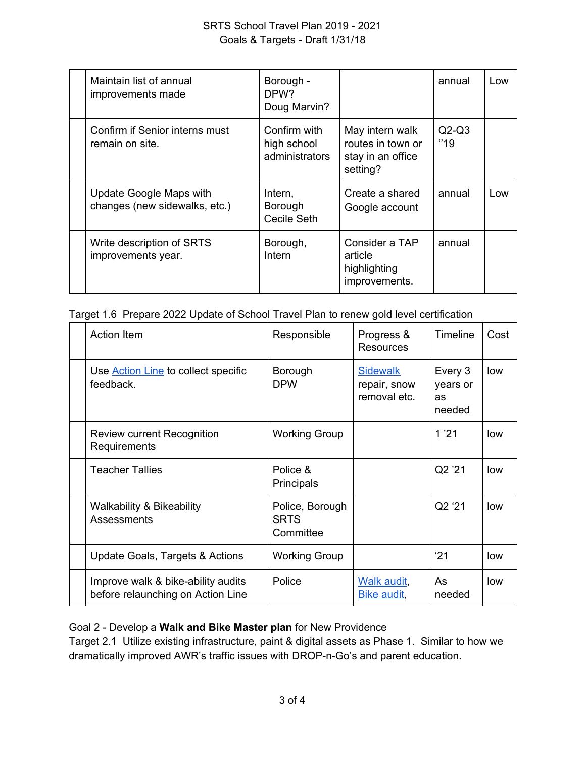## SRTS School Travel Plan 2019 - 2021 Goals & Targets - Draft 1/31/18

| Maintain list of annual<br>improvements made             | Borough -<br>DPW <sub>2</sub><br>Doug Marvin? |                                                                       | annual          | Low |
|----------------------------------------------------------|-----------------------------------------------|-----------------------------------------------------------------------|-----------------|-----|
| Confirm if Senior interns must<br>remain on site.        | Confirm with<br>high school<br>administrators | May intern walk<br>routes in town or<br>stay in an office<br>setting? | $Q2-Q3$<br>"19" |     |
| Update Google Maps with<br>changes (new sidewalks, etc.) | Intern,<br>Borough<br>Cecile Seth             | Create a shared<br>Google account                                     | annual          | Low |
| Write description of SRTS<br>improvements year.          | Borough,<br>Intern                            | Consider a TAP<br>article<br>highlighting<br>improvements.            | annual          |     |

Target 1.6 Prepare 2022 Update of School Travel Plan to renew gold level certification

| Action Item                                                             | Responsible                                 | Progress &<br><b>Resources</b>                  | Timeline                            | Cost |
|-------------------------------------------------------------------------|---------------------------------------------|-------------------------------------------------|-------------------------------------|------|
| Use <b>Action Line</b> to collect specific<br>feedback.                 | Borough<br><b>DPW</b>                       | <b>Sidewalk</b><br>repair, snow<br>removal etc. | Every 3<br>years or<br>as<br>needed | low  |
| Review current Recognition<br>Requirements                              | <b>Working Group</b>                        |                                                 | 1'21                                | low  |
| <b>Teacher Tallies</b>                                                  | Police &<br>Principals                      |                                                 | Q2 '21                              | low  |
| <b>Walkability &amp; Bikeability</b><br>Assessments                     | Police, Borough<br><b>SRTS</b><br>Committee |                                                 | Q2 '21                              | low  |
| Update Goals, Targets & Actions                                         | <b>Working Group</b>                        |                                                 | '21                                 | low  |
| Improve walk & bike-ability audits<br>before relaunching on Action Line | Police                                      | Walk audit,<br>Bike audit,                      | As<br>needed                        | low  |

### Goal 2 - Develop a **Walk and Bike Master plan** for New Providence

Target 2.1 Utilize existing infrastructure, paint & digital assets as Phase 1. Similar to how we dramatically improved AWR's traffic issues with DROP-n-Go's and parent education.